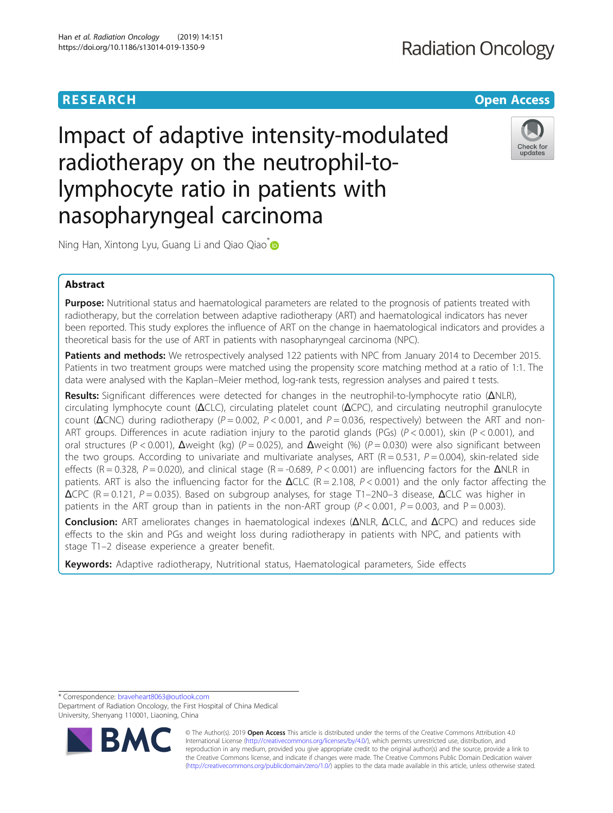# **RESEARCH CHEAR CHEAR CHEAR CHEAR CHEAR CHEAR CHEAR CHEAR CHEAR CHEAP CHEAP CHEAP CHEAP CHEAP CHEAP CHEAP CHEAP**

Impact of adaptive intensity-modulated radiotherapy on the neutrophil-tolymphocyte ratio in patients with nasopharyngeal carcinoma



Ning Han, Xintong Lyu, Guang Li and Qiao Qiao<sup>[\\*](http://orcid.org/0000-0001-7183-7068)</sup>

# Abstract

Purpose: Nutritional status and haematological parameters are related to the prognosis of patients treated with radiotherapy, but the correlation between adaptive radiotherapy (ART) and haematological indicators has never been reported. This study explores the influence of ART on the change in haematological indicators and provides a theoretical basis for the use of ART in patients with nasopharyngeal carcinoma (NPC).

Patients and methods: We retrospectively analysed 122 patients with NPC from January 2014 to December 2015. Patients in two treatment groups were matched using the propensity score matching method at a ratio of 1:1. The data were analysed with the Kaplan–Meier method, log-rank tests, regression analyses and paired t tests.

Results: Significant differences were detected for changes in the neutrophil-to-lymphocyte ratio (ΔNLR), circulating lymphocyte count (ΔCLC), circulating platelet count (ΔCPC), and circulating neutrophil granulocyte count ( $\Delta$ CNC) during radiotherapy (P = 0.002, P < 0.001, and P = 0.036, respectively) between the ART and non-ART groups. Differences in acute radiation injury to the parotid glands (PGs) ( $P < 0.001$ ), skin (P < 0.001), and oral structures (P < 0.001), Δweight (kg) (P = 0.025), and Δweight (%) (P = 0.030) were also significant between the two groups. According to univariate and multivariate analyses, ART ( $R = 0.531$ ,  $P = 0.004$ ), skin-related side effects (R = 0.328, P = 0.020), and clinical stage (R = -0.689, P < 0.001) are influencing factors for the  $\Delta$ NLR in patients. ART is also the influencing factor for the  $\Delta$ CLC (R = 2.108, P < 0.001) and the only factor affecting the  $\triangle$ CPC (R = 0.121, P = 0.035). Based on subgroup analyses, for stage T1–2N0–3 disease,  $\triangle$ CLC was higher in patients in the ART group than in patients in the non-ART group ( $P < 0.001$ ,  $P = 0.003$ , and  $P = 0.003$ ).

Conclusion: ART ameliorates changes in haematological indexes (ΔNLR, ΔCLC, and ΔCPC) and reduces side effects to the skin and PGs and weight loss during radiotherapy in patients with NPC, and patients with stage T1–2 disease experience a greater benefit.

Keywords: Adaptive radiotherapy, Nutritional status, Haematological parameters, Side effects

\* Correspondence: [braveheart8063@outlook.com](mailto:braveheart8063@outlook.com)

Department of Radiation Oncology, the First Hospital of China Medical University, Shenyang 110001, Liaoning, China



© The Author(s). 2019 **Open Access** This article is distributed under the terms of the Creative Commons Attribution 4.0 International License [\(http://creativecommons.org/licenses/by/4.0/](http://creativecommons.org/licenses/by/4.0/)), which permits unrestricted use, distribution, and reproduction in any medium, provided you give appropriate credit to the original author(s) and the source, provide a link to the Creative Commons license, and indicate if changes were made. The Creative Commons Public Domain Dedication waiver [\(http://creativecommons.org/publicdomain/zero/1.0/](http://creativecommons.org/publicdomain/zero/1.0/)) applies to the data made available in this article, unless otherwise stated.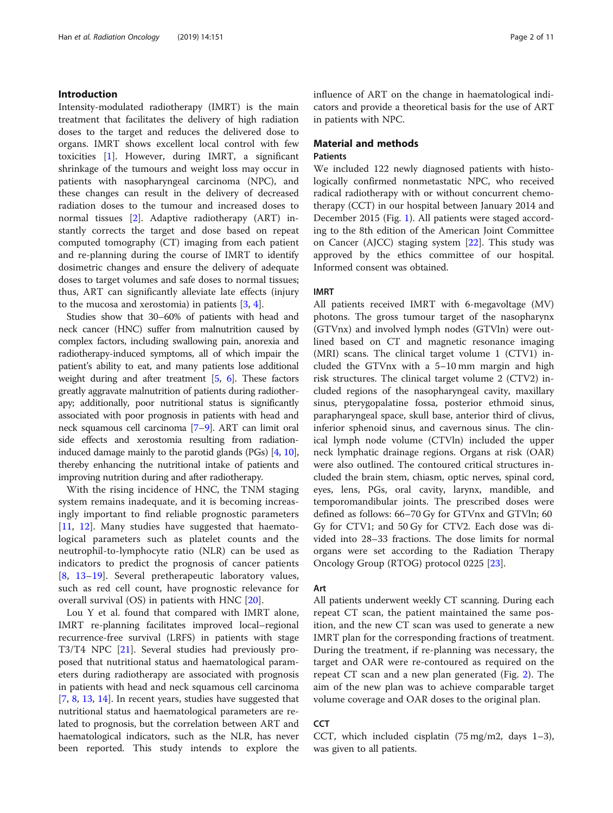## Introduction

Intensity-modulated radiotherapy (IMRT) is the main treatment that facilitates the delivery of high radiation doses to the target and reduces the delivered dose to organs. IMRT shows excellent local control with few toxicities [[1\]](#page-8-0). However, during IMRT, a significant shrinkage of the tumours and weight loss may occur in patients with nasopharyngeal carcinoma (NPC), and these changes can result in the delivery of decreased radiation doses to the tumour and increased doses to normal tissues [[2\]](#page-8-0). Adaptive radiotherapy (ART) instantly corrects the target and dose based on repeat computed tomography (CT) imaging from each patient and re-planning during the course of IMRT to identify dosimetric changes and ensure the delivery of adequate doses to target volumes and safe doses to normal tissues; thus, ART can significantly alleviate late effects (injury to the mucosa and xerostomia) in patients  $[3, 4]$  $[3, 4]$  $[3, 4]$  $[3, 4]$ .

Studies show that 30–60% of patients with head and neck cancer (HNC) suffer from malnutrition caused by complex factors, including swallowing pain, anorexia and radiotherapy-induced symptoms, all of which impair the patient's ability to eat, and many patients lose additional weight during and after treatment  $[5, 6]$  $[5, 6]$  $[5, 6]$  $[5, 6]$ . These factors greatly aggravate malnutrition of patients during radiotherapy; additionally, poor nutritional status is significantly associated with poor prognosis in patients with head and neck squamous cell carcinoma [\[7](#page-9-0)–[9\]](#page-9-0). ART can limit oral side effects and xerostomia resulting from radiationinduced damage mainly to the parotid glands (PGs) [\[4](#page-8-0), [10](#page-9-0)], thereby enhancing the nutritional intake of patients and improving nutrition during and after radiotherapy.

With the rising incidence of HNC, the TNM staging system remains inadequate, and it is becoming increasingly important to find reliable prognostic parameters [[11,](#page-9-0) [12](#page-9-0)]. Many studies have suggested that haematological parameters such as platelet counts and the neutrophil-to-lymphocyte ratio (NLR) can be used as indicators to predict the prognosis of cancer patients [[8,](#page-9-0) [13](#page-9-0)–[19](#page-9-0)]. Several pretherapeutic laboratory values, such as red cell count, have prognostic relevance for overall survival (OS) in patients with HNC [[20\]](#page-9-0).

Lou Y et al. found that compared with IMRT alone, IMRT re-planning facilitates improved local–regional recurrence-free survival (LRFS) in patients with stage T3/T4 NPC [[21\]](#page-9-0). Several studies had previously proposed that nutritional status and haematological parameters during radiotherapy are associated with prognosis in patients with head and neck squamous cell carcinoma [[7,](#page-9-0) [8,](#page-9-0) [13,](#page-9-0) [14\]](#page-9-0). In recent years, studies have suggested that nutritional status and haematological parameters are related to prognosis, but the correlation between ART and haematological indicators, such as the NLR, has never been reported. This study intends to explore the influence of ART on the change in haematological indicators and provide a theoretical basis for the use of ART in patients with NPC.

## Material and methods **Patients**

We included 122 newly diagnosed patients with histologically confirmed nonmetastatic NPC, who received radical radiotherapy with or without concurrent chemotherapy (CCT) in our hospital between January 2014 and December 2015 (Fig. [1\)](#page-2-0). All patients were staged according to the 8th edition of the American Joint Committee on Cancer (AJCC) staging system [\[22](#page-9-0)]. This study was approved by the ethics committee of our hospital. Informed consent was obtained.

# IMRT

All patients received IMRT with 6-megavoltage (MV) photons. The gross tumour target of the nasopharynx (GTVnx) and involved lymph nodes (GTVln) were outlined based on CT and magnetic resonance imaging (MRI) scans. The clinical target volume 1 (CTV1) included the GTVnx with a 5–10 mm margin and high risk structures. The clinical target volume 2 (CTV2) included regions of the nasopharyngeal cavity, maxillary sinus, pterygopalatine fossa, posterior ethmoid sinus, parapharyngeal space, skull base, anterior third of clivus, inferior sphenoid sinus, and cavernous sinus. The clinical lymph node volume (CTVln) included the upper neck lymphatic drainage regions. Organs at risk (OAR) were also outlined. The contoured critical structures included the brain stem, chiasm, optic nerves, spinal cord, eyes, lens, PGs, oral cavity, larynx, mandible, and temporomandibular joints. The prescribed doses were defined as follows: 66–70 Gy for GTVnx and GTVln; 60 Gy for CTV1; and 50 Gy for CTV2. Each dose was divided into 28–33 fractions. The dose limits for normal organs were set according to the Radiation Therapy Oncology Group (RTOG) protocol 0225 [\[23](#page-9-0)].

#### Art

All patients underwent weekly CT scanning. During each repeat CT scan, the patient maintained the same position, and the new CT scan was used to generate a new IMRT plan for the corresponding fractions of treatment. During the treatment, if re-planning was necessary, the target and OAR were re-contoured as required on the repeat CT scan and a new plan generated (Fig. [2](#page-2-0)). The aim of the new plan was to achieve comparable target volume coverage and OAR doses to the original plan.

# **CCT**

CCT, which included cisplatin (75 mg/m2, days 1–3), was given to all patients.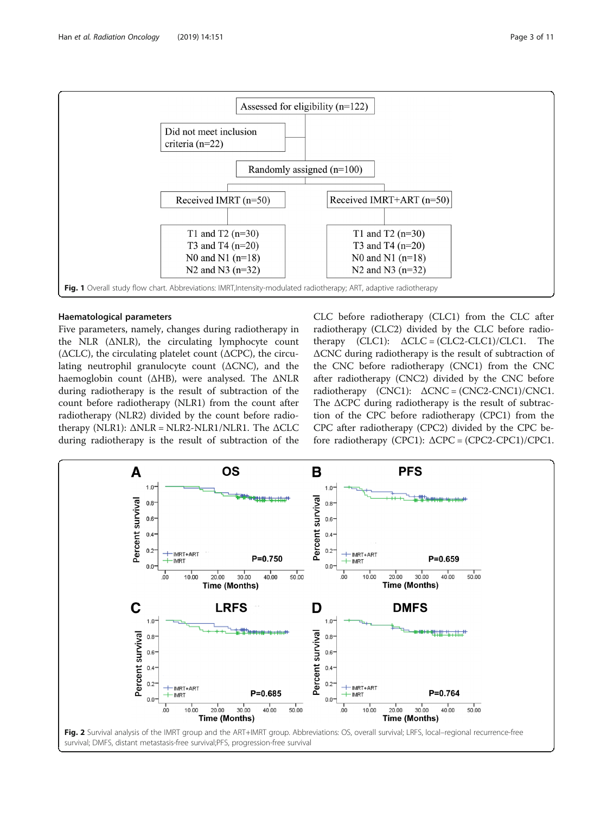<span id="page-2-0"></span>

#### Haematological parameters

Five parameters, namely, changes during radiotherapy in the NLR (ΔNLR), the circulating lymphocyte count ( $\triangle CLC$ ), the circulating platelet count ( $\triangle$ CPC), the circulating neutrophil granulocyte count (ΔCNC), and the haemoglobin count (ΔHB), were analysed. The ΔNLR during radiotherapy is the result of subtraction of the count before radiotherapy (NLR1) from the count after radiotherapy (NLR2) divided by the count before radiotherapy (NLR1):  $ΔNLR = NLR2-NLR1/NLR1$ . The  $ΔCLC$ during radiotherapy is the result of subtraction of the CLC before radiotherapy (CLC1) from the CLC after radiotherapy (CLC2) divided by the CLC before radiotherapy  $(CLC1): \Delta CLC = (CLC2-CLC1)/CLC1.$  The ΔCNC during radiotherapy is the result of subtraction of the CNC before radiotherapy (CNC1) from the CNC after radiotherapy (CNC2) divided by the CNC before radiotherapy  $(CNC1)$ :  $\Delta CNC = (CNC2-CNC1)/CNC1$ . The ΔCPC during radiotherapy is the result of subtraction of the CPC before radiotherapy (CPC1) from the CPC after radiotherapy (CPC2) divided by the CPC before radiotherapy (CPC1):  $\triangle$ CPC = (CPC2-CPC1)/CPC1.

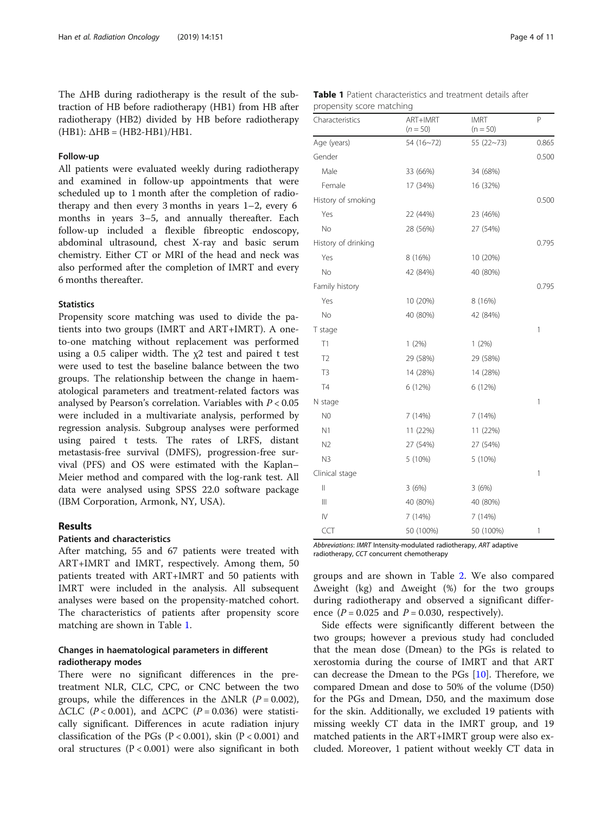The ΔHB during radiotherapy is the result of the subtraction of HB before radiotherapy (HB1) from HB after radiotherapy (HB2) divided by HB before radiotherapy  $(HB1): \Delta HB = (HB2-HB1)/HB1.$ 

#### Follow-up

All patients were evaluated weekly during radiotherapy and examined in follow-up appointments that were scheduled up to 1 month after the completion of radiotherapy and then every 3 months in years 1–2, every 6 months in years 3–5, and annually thereafter. Each follow-up included a flexible fibreoptic endoscopy, abdominal ultrasound, chest X-ray and basic serum chemistry. Either CT or MRI of the head and neck was also performed after the completion of IMRT and every 6 months thereafter.

## **Statistics**

Propensity score matching was used to divide the patients into two groups (IMRT and ART+IMRT). A oneto-one matching without replacement was performed using a 0.5 caliper width. The χ2 test and paired t test were used to test the baseline balance between the two groups. The relationship between the change in haematological parameters and treatment-related factors was analysed by Pearson's correlation. Variables with  $P < 0.05$ were included in a multivariate analysis, performed by regression analysis. Subgroup analyses were performed using paired t tests. The rates of LRFS, distant metastasis-free survival (DMFS), progression-free survival (PFS) and OS were estimated with the Kaplan– Meier method and compared with the log-rank test. All data were analysed using SPSS 22.0 software package (IBM Corporation, Armonk, NY, USA).

# Results

#### Patients and characteristics

After matching, 55 and 67 patients were treated with ART+IMRT and IMRT, respectively. Among them, 50 patients treated with ART+IMRT and 50 patients with IMRT were included in the analysis. All subsequent analyses were based on the propensity-matched cohort. The characteristics of patients after propensity score matching are shown in Table 1.

# Changes in haematological parameters in different radiotherapy modes

There were no significant differences in the pretreatment NLR, CLC, CPC, or CNC between the two groups, while the differences in the  $\triangle NLR$  ( $P = 0.002$ ),  $\triangle CLC$  (P < 0.001), and  $\triangle$ CPC (P = 0.036) were statistically significant. Differences in acute radiation injury classification of the PGs ( $P < 0.001$ ), skin ( $P < 0.001$ ) and oral structures  $(P < 0.001)$  were also significant in both

|  | Table 1 Patient characteristics and treatment details after |  |  |
|--|-------------------------------------------------------------|--|--|
|  | propensity score matching                                   |  |  |

| $\overline{\phantom{a}}$<br>Characteristics | ART+IMRT<br>$(n = 50)$ | <b>IMRT</b><br>$(n = 50)$ | P     |
|---------------------------------------------|------------------------|---------------------------|-------|
| Age (years)                                 | 54(16~72)              | 55 $(22~73)$              | 0.865 |
| Gender                                      |                        |                           | 0.500 |
| Male                                        | 33 (66%)               | 34 (68%)                  |       |
| Female                                      | 17 (34%)               | 16 (32%)                  |       |
| History of smoking                          |                        |                           | 0.500 |
| Yes                                         | 22 (44%)               | 23 (46%)                  |       |
| No                                          | 28 (56%)               | 27 (54%)                  |       |
| History of drinking                         |                        |                           | 0.795 |
| Yes                                         | 8 (16%)                | 10 (20%)                  |       |
| No                                          | 42 (84%)               | 40 (80%)                  |       |
| Family history                              |                        |                           | 0.795 |
| Yes                                         | 10 (20%)               | 8 (16%)                   |       |
| No                                          | 40 (80%)               | 42 (84%)                  |       |
| T stage                                     |                        |                           | 1     |
| T1                                          | 1(2%)                  | 1(2%)                     |       |
| T <sub>2</sub>                              | 29 (58%)               | 29 (58%)                  |       |
| T3                                          | 14 (28%)               | 14 (28%)                  |       |
| <b>T4</b>                                   | 6 (12%)                | 6 (12%)                   |       |
| N stage                                     |                        |                           | 1     |
| N <sub>0</sub>                              | 7 (14%)                | 7 (14%)                   |       |
| N1                                          | 11 (22%)               | 11 (22%)                  |       |
| N <sub>2</sub>                              | 27 (54%)               | 27 (54%)                  |       |
| N <sub>3</sub>                              | 5 (10%)                | 5 (10%)                   |       |
| Clinical stage                              |                        |                           | 1     |
| $\vert\vert$                                | 3(6%)                  | 3(6%)                     |       |
| $\mathbb{H}$                                | 40 (80%)               | 40 (80%)                  |       |
| IV                                          | 7(14%)                 | 7 (14%)                   |       |
| CCT                                         | 50 (100%)              | 50 (100%)                 | 1     |

Abbreviations: IMRT Intensity-modulated radiotherapy, ART adaptive radiotherapy, CCT concurrent chemotherapy

groups and are shown in Table [2](#page-4-0). We also compared Δweight (kg) and Δweight (%) for the two groups during radiotherapy and observed a significant difference  $(P = 0.025$  and  $P = 0.030$ , respectively).

Side effects were significantly different between the two groups; however a previous study had concluded that the mean dose (Dmean) to the PGs is related to xerostomia during the course of IMRT and that ART can decrease the Dmean to the PGs [\[10](#page-9-0)]. Therefore, we compared Dmean and dose to 50% of the volume (D50) for the PGs and Dmean, D50, and the maximum dose for the skin. Additionally, we excluded 19 patients with missing weekly CT data in the IMRT group, and 19 matched patients in the ART+IMRT group were also excluded. Moreover, 1 patient without weekly CT data in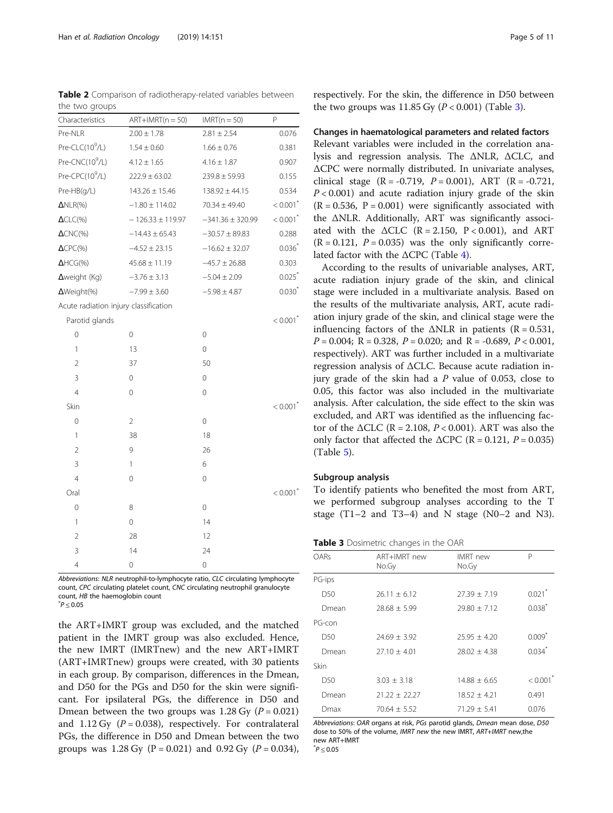<span id="page-4-0"></span>Table 2 Comparison of radiotherapy-related variables between the two groups

| Characteristics                       | $ART+IMRT(n = 50)$   | $IMRT(n = 50)$       | P                      |
|---------------------------------------|----------------------|----------------------|------------------------|
| Pre-NLR                               | $2.00 \pm 1.78$      | $2.81 \pm 2.54$      | 0.076                  |
| Pre-CLC(10 <sup>9</sup> /L)           | $1.54 \pm 0.60$      | $1.66 \pm 0.76$      | 0.381                  |
| Pre-CNC(10 <sup>9</sup> /L)           | $4.12 \pm 1.65$      | $4.16 \pm 1.87$      | 0.907                  |
| Pre-CPC(10 <sup>9</sup> /L)           | $222.9 \pm 63.02$    | $239.8 \pm 59.93$    | 0.155                  |
| Pre-HB(g/L)                           | $143.26 \pm 15.46$   | $138.92 \pm 44.15$   | 0.534                  |
| $\Delta NLR(\%)$                      | $-1.80 \pm 114.02$   | $70.34 \pm 49.40$    | $< 0.001$ <sup>*</sup> |
| $\Delta$ CLC(%)                       | $-126.33 \pm 119.97$ | $-341.36 \pm 320.99$ | $< 0.001$ <sup>*</sup> |
| $\Delta$ CNC(%)                       | $-14.43 \pm 65.43$   | $-30.57 \pm 89.83$   | 0.288                  |
| $\Delta$ CPC(%)                       | $-4.52 \pm 23.15$    | $-16.62 \pm 32.07$   | 0.036                  |
| $\Delta HCG(\%)$                      | $45.68 \pm 11.19$    | $-45.7 \pm 26.88$    | 0.303                  |
| $\Delta$ weight (Kg)                  | $-3.76 \pm 3.13$     | $-5.04 \pm 2.09$     | $0.025$ <sup>*</sup>   |
| ΔWeight(%)                            | $-7.99 \pm 3.60$     | $-5.98 \pm 4.87$     | $0.030^{*}$            |
| Acute radiation injury classification |                      |                      |                        |
| Parotid glands                        |                      |                      | $< 0.001$ <sup>*</sup> |
| 0                                     | 0                    | 0                    |                        |
| 1                                     | 13                   | 0                    |                        |
| $\overline{2}$                        | 37                   | 50                   |                        |
| 3                                     | 0                    | 0                    |                        |
| $\overline{4}$                        | 0                    | 0                    |                        |
| Skin                                  |                      |                      | $< 0.001$ <sup>*</sup> |
| 0                                     | $\overline{2}$       | 0                    |                        |
| 1                                     | 38                   | 18                   |                        |
| $\overline{2}$                        | 9                    | 26                   |                        |
| 3                                     | 1                    | 6                    |                        |
| $\overline{4}$                        | 0                    | 0                    |                        |
| Oral                                  |                      |                      | $< 0.001$ <sup>*</sup> |
| 0                                     | 8                    | 0                    |                        |
| 1                                     | 0                    | 14                   |                        |
| $\overline{2}$                        | 28                   | 12                   |                        |
| 3                                     | 14                   | 24                   |                        |
| $\overline{4}$                        | 0                    | 0                    |                        |

Abbreviations: NLR neutrophil-to-lymphocyte ratio, CLC circulating lymphocyte count, CPC circulating platelet count, CNC circulating neutrophil granulocyte count, HB the haemoglobin count  $^*P < 0.05$ 

the ART+IMRT group was excluded, and the matched patient in the IMRT group was also excluded. Hence, the new IMRT (IMRTnew) and the new ART+IMRT (ART+IMRTnew) groups were created, with 30 patients in each group. By comparison, differences in the Dmean, and D50 for the PGs and D50 for the skin were significant. For ipsilateral PGs, the difference in D50 and Dmean between the two groups was 1.28 Gy  $(P = 0.021)$ and 1.12 Gy  $(P = 0.038)$ , respectively. For contralateral PGs, the difference in D50 and Dmean between the two groups was 1.28 Gy (P = 0.021) and 0.92 Gy (P = 0.034),

respectively. For the skin, the difference in D50 between the two groups was  $11.85$  Gy ( $P < 0.001$ ) (Table 3).

#### Changes in haematological parameters and related factors

Relevant variables were included in the correlation analysis and regression analysis. The ΔNLR, ΔCLC, and ΔCPC were normally distributed. In univariate analyses, clinical stage  $(R = -0.719, P = 0.001)$ , ART  $(R = -0.721,$  $P < 0.001$ ) and acute radiation injury grade of the skin  $(R = 0.536, P = 0.001)$  were significantly associated with the ΔNLR. Additionally, ART was significantly associated with the  $\triangle CLC$  (R = 2.150, P < 0.001), and ART  $(R = 0.121, P = 0.035)$  was the only significantly correlated factor with the  $\triangle$ CPC (Table [4\)](#page-5-0).

According to the results of univariable analyses, ART, acute radiation injury grade of the skin, and clinical stage were included in a multivariate analysis. Based on the results of the multivariate analysis, ART, acute radiation injury grade of the skin, and clinical stage were the influencing factors of the  $\triangle NLR$  in patients (R = 0.531,  $P = 0.004$ ; R = 0.328, P = 0.020; and R = -0.689, P < 0.001, respectively). ART was further included in a multivariate regression analysis of ΔCLC. Because acute radiation injury grade of the skin had a  $P$  value of 0.053, close to 0.05, this factor was also included in the multivariate analysis. After calculation, the side effect to the skin was excluded, and ART was identified as the influencing factor of the  $\triangle CLC$  (R = 2.108, P < 0.001). ART was also the only factor that affected the  $\triangle$ CPC (R = 0.121, P = 0.035) (Table [5\)](#page-6-0).

# Subgroup analysis

To identify patients who benefited the most from ART, we performed subgroup analyses according to the T stage  $(T1-2$  and  $T3-4$ ) and N stage  $(N0-2$  and N3).

|  | Table 3 Dosimetric changes in the OAR |  |  |  |  |
|--|---------------------------------------|--|--|--|--|
|--|---------------------------------------|--|--|--|--|

| OARs            | ART+IMRT new<br>No.Gy | <b>IMRT</b> new<br>No.Gy | P                      |
|-----------------|-----------------------|--------------------------|------------------------|
| PG-ips          |                       |                          |                        |
| D <sub>50</sub> | $26.11 + 6.12$        | $27.39 \pm 7.19$         | $0.021$ <sup>*</sup>   |
| Dmean           | $28.68 \pm 5.99$      | $79.80 + 7.12$           | $0.038$ <sup>*</sup>   |
| PG-con          |                       |                          |                        |
| D50             | $74.69 + 3.92$        | $25.95 + 4.20$           | $0.009$ <sup>*</sup>   |
| Dmean           | $27.10 + 4.01$        | $78.02 + 4.38$           | $0.034$ <sup>*</sup>   |
| Skin            |                       |                          |                        |
| D <sub>50</sub> | $3.03 + 3.18$         | $14.88 + 6.65$           | $< 0.001$ <sup>*</sup> |
| Dmean           | $21.22 + 22.27$       | $18.52 + 4.21$           | 0.491                  |
| Dmax            | $70.64 + 5.52$        | $71.29 + 5.41$           | 0.076                  |

Abbreviations: OAR organs at risk, PGs parotid glands, Dmean mean dose, D50 dose to 50% of the volume, IMRT new the new IMRT, ART+IMRT new,the new ART+IMRT

 $^*P \leq 0.05$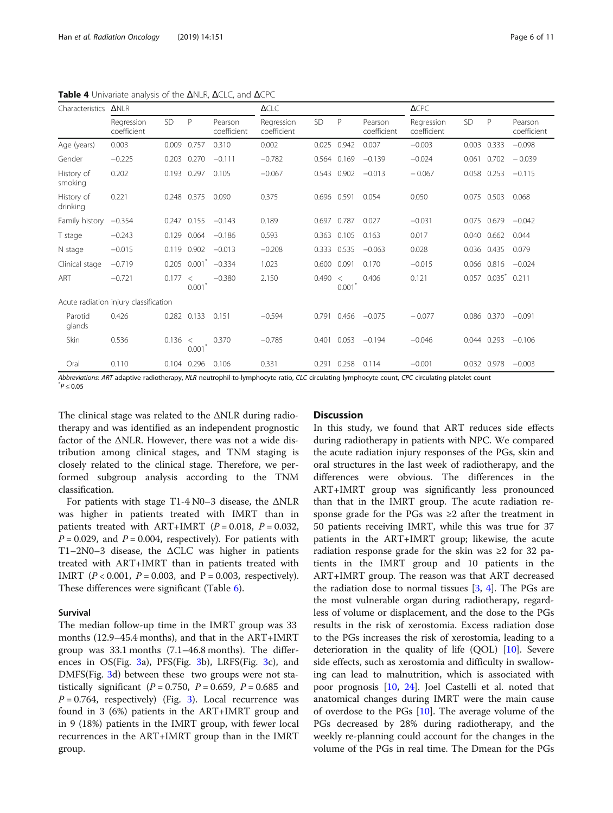| Characteristics        | <b>ANLR</b>                           |           |                  |                          | <b>ACLC</b>               |             |                  |                        | $\triangle$ CPC           |             |             |                        |
|------------------------|---------------------------------------|-----------|------------------|--------------------------|---------------------------|-------------|------------------|------------------------|---------------------------|-------------|-------------|------------------------|
|                        | Regression<br>coefficient             | <b>SD</b> | P                | Pearson<br>coefficient   | Regression<br>coefficient | <b>SD</b>   | P                | Pearson<br>coefficient | Regression<br>coefficient | SD          | P           | Pearson<br>coefficient |
| Age (years)            | 0.003                                 | 0.009     | 0.757            | 0.310                    | 0.002                     | 0.025       | 0.942            | 0.007                  | $-0.003$                  | 0.003       | 0.333       | $-0.098$               |
| Gender                 | $-0.225$                              | 0.203     | 0.270            | $-0.111$                 | $-0.782$                  | 0.564       | 0.169            | $-0.139$               | $-0.024$                  | 0.061       | 0.702       | $-0.039$               |
| History of<br>smoking  | 0.202                                 |           | 0.193 0.297      | 0.105                    | $-0.067$                  |             | 0.543 0.902      | $-0.013$               | $-0.067$                  | 0.058 0.253 |             | $-0.115$               |
| History of<br>drinking | 0.221                                 |           | 0.248 0.375      | 0.090                    | 0.375                     | 0.696 0.591 |                  | 0.054                  | 0.050                     | 0.075       | 0.503       | 0.068                  |
| Family history         | $-0.354$                              |           | 0.247 0.155      | $-0.143$                 | 0.189                     | 0.697 0.787 |                  | 0.027                  | $-0.031$                  | 0.075       | 0.679       | $-0.042$               |
| T stage                | $-0.243$                              | 0.129     | 0.064            | $-0.186$                 | 0.593                     | 0.363 0.105 |                  | 0.163                  | 0.017                     | 0.040       | 0.662       | 0.044                  |
| N stage                | $-0.015$                              |           | 0.119 0.902      | $-0.013$                 | $-0.208$                  | 0.333 0.535 |                  | $-0.063$               | 0.028                     | 0.036       | 0.435       | 0.079                  |
| Clinical stage         | $-0.719$                              | 0.205     |                  | $0.001^{\degree}$ -0.334 | 1.023                     | 0.600 0.091 |                  | 0.170                  | $-0.015$                  |             | 0.066 0.816 | $-0.024$               |
| ART                    | $-0.721$                              | 0.177     | $\,<\,$<br>0.001 | $-0.380$                 | 2.150                     | 0.490       | $\,<\,$<br>0.001 | 0.406                  | 0.121                     | 0.057       | $0.035^{*}$ | 0.211                  |
|                        | Acute radiation injury classification |           |                  |                          |                           |             |                  |                        |                           |             |             |                        |
| Parotid<br>glands      | 0.426                                 |           | 0.282 0.133      | 0.151                    | $-0.594$                  | 0.791       | 0.456            | $-0.075$               | $-0.077$                  |             | 0.086 0.370 | $-0.091$               |
| Skin                   | 0.536                                 | 0.136     | $\,<\,$<br>0.001 | 0.370                    | $-0.785$                  | 0.401       | 0.053            | $-0.194$               | $-0.046$                  | 0.044 0.293 |             | $-0.106$               |
| Oral                   | 0.110                                 |           | 0.104 0.296      | 0.106                    | 0.331                     | 0.291       | 0.258            | 0.114                  | $-0.001$                  | 0.032 0.978 |             | $-0.003$               |

<span id="page-5-0"></span>Table 4 Univariate analysis of the ΔNLR, ΔCLC, and ΔCPC

Abbreviations: ART adaptive radiotherapy, NLR neutrophil-to-lymphocyte ratio, CLC circulating lymphocyte count, CPC circulating platelet count  $^*P < 0.05$ 

The clinical stage was related to the ΔNLR during radiotherapy and was identified as an independent prognostic factor of the ΔNLR. However, there was not a wide distribution among clinical stages, and TNM staging is closely related to the clinical stage. Therefore, we performed subgroup analysis according to the TNM classification.

For patients with stage T1-4 N0–3 disease, the ΔNLR was higher in patients treated with IMRT than in patients treated with  $ART+IMRT$  ( $P = 0.018$ ,  $P = 0.032$ ,  $P = 0.029$ , and  $P = 0.004$ , respectively). For patients with T1–2N0–3 disease, the ΔCLC was higher in patients treated with ART+IMRT than in patients treated with IMRT ( $P < 0.001$ ,  $P = 0.003$ , and  $P = 0.003$ , respectively). These differences were significant (Table [6](#page-7-0)).

## Survival

The median follow-up time in the IMRT group was 33 months (12.9–45.4 months), and that in the ART+IMRT group was 33.1 months (7.1–46.8 months). The differences in OS(Fig. [3a](#page-7-0)), PFS(Fig. [3b](#page-7-0)), LRFS(Fig. [3c](#page-7-0)), and DMFS(Fig. [3](#page-7-0)d) between these two groups were not statistically significant ( $P = 0.750$ ,  $P = 0.659$ ,  $P = 0.685$  and  $P = 0.764$ , respectively) (Fig. [3\)](#page-7-0). Local recurrence was found in 3 (6%) patients in the ART+IMRT group and in 9 (18%) patients in the IMRT group, with fewer local recurrences in the ART+IMRT group than in the IMRT group.

## **Discussion**

In this study, we found that ART reduces side effects during radiotherapy in patients with NPC. We compared the acute radiation injury responses of the PGs, skin and oral structures in the last week of radiotherapy, and the differences were obvious. The differences in the ART+IMRT group was significantly less pronounced than that in the IMRT group. The acute radiation response grade for the PGs was  $\geq 2$  after the treatment in 50 patients receiving IMRT, while this was true for 37 patients in the ART+IMRT group; likewise, the acute radiation response grade for the skin was ≥2 for 32 patients in the IMRT group and 10 patients in the ART+IMRT group. The reason was that ART decreased the radiation dose to normal tissues [[3,](#page-8-0) [4](#page-8-0)]. The PGs are the most vulnerable organ during radiotherapy, regardless of volume or displacement, and the dose to the PGs results in the risk of xerostomia. Excess radiation dose to the PGs increases the risk of xerostomia, leading to a deterioration in the quality of life (QOL) [\[10\]](#page-9-0). Severe side effects, such as xerostomia and difficulty in swallowing can lead to malnutrition, which is associated with poor prognosis [\[10,](#page-9-0) [24\]](#page-9-0). Joel Castelli et al. noted that anatomical changes during IMRT were the main cause of overdose to the PGs [[10\]](#page-9-0). The average volume of the PGs decreased by 28% during radiotherapy, and the weekly re-planning could account for the changes in the volume of the PGs in real time. The Dmean for the PGs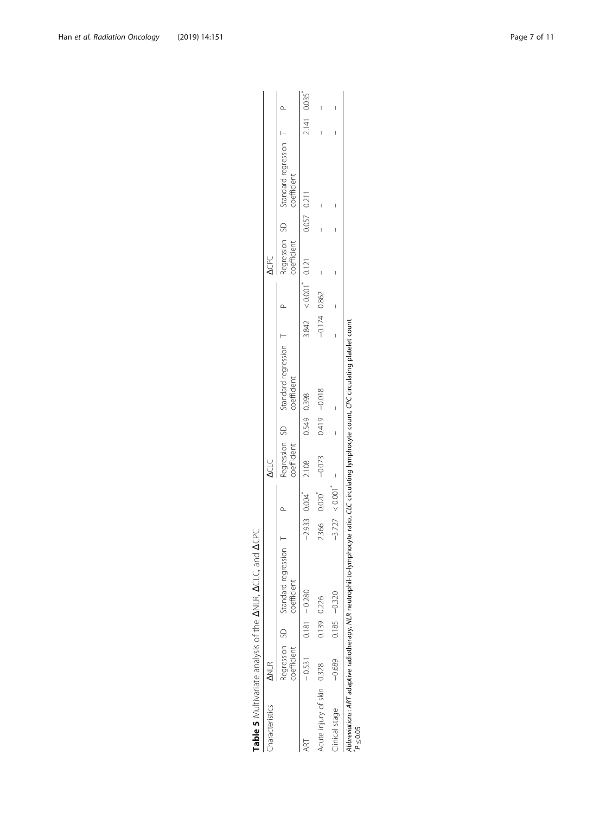<span id="page-6-0"></span>

| aracteristics        | $\frac{R}{2}$                |             |                                    |                  |             | <b>ACLC</b> |             |                                                  |                |                       | <b>ACPC</b> |             |                                                                |             |  |
|----------------------|------------------------------|-------------|------------------------------------|------------------|-------------|-------------|-------------|--------------------------------------------------|----------------|-----------------------|-------------|-------------|----------------------------------------------------------------|-------------|--|
|                      | Regression SD<br>coefficient |             | standard regression<br>coefficient |                  |             | oefficient  |             | regression SD Standard regression<br>coefficient |                |                       |             |             | Regression SD Standard regression T<br>coefficient coefficient |             |  |
|                      | $-0.531$                     |             | $0.181 - 0.280$                    |                  | $-2.933004$ | 2.108       | 0.549 0.398 |                                                  |                | $3.842 < 0.001$ 0.121 |             | 0.057 0.211 |                                                                | 2.141 0.035 |  |
| Acute injury of skin | 0.328                        | 0.139 0.226 |                                    | .366             | 0.020       | $-0.073$    |             | 0.419 - 0.018                                    | $-0.174$ 0.862 |                       | I           |             |                                                                |             |  |
| linical stage        | $-0.689$                     |             | $-0.185 - 0.320$                   | $-3.727 < 0.001$ |             | I           |             |                                                  |                |                       | I           |             | I                                                              |             |  |

Abbreviations: ART adaptive radiotherapy, NLR neutrophil-to-lymphocyte ratio, CLC circulating lymphocyte count, CPC circulating platelet count Abbreviations: ART adaptive radiotherapy, NLR neutrophil-to-lymphocyte ratio, CLC circulating lymphocyte count, CPC circulating platelet count<br>\*P ≤ 0.05

Table 5 Multivariate analysis of the ANLR, ACLC, and ACPC Table 5 Multivariate analysis of the ΔNLR, ΔCLC, and ΔCPC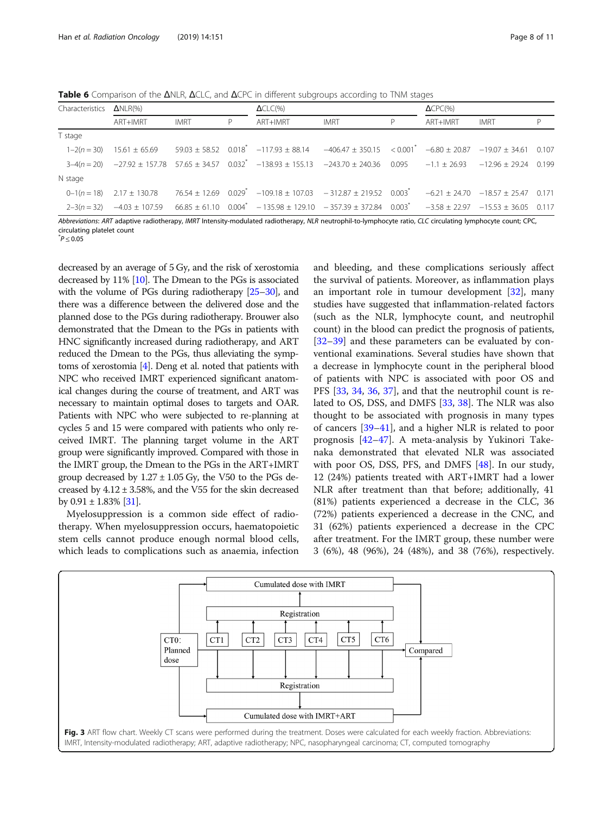<span id="page-7-0"></span>Table 6 Comparison of the ΔNLR, ΔCLC, and ΔCPC in different subgroups according to TNM stages

| Characteristics $\Delta NLR(\%)$ |                                |             |   | $\Delta CLC(\%)$                                                                                                                                                     |             |   | $\Delta$ CPC(%) |             |   |
|----------------------------------|--------------------------------|-------------|---|----------------------------------------------------------------------------------------------------------------------------------------------------------------------|-------------|---|-----------------|-------------|---|
|                                  | ART+IMRT                       | <b>IMRT</b> | P | ART+IMRT                                                                                                                                                             | <b>IMRT</b> | P | ART+IMRT        | <b>IMRT</b> | P |
| T stage                          |                                |             |   |                                                                                                                                                                      |             |   |                 |             |   |
|                                  |                                |             |   | $1-2(n=30)$ $15.61 \pm 65.69$ $59.03 \pm 58.52$ $0.018$ $-117.93 \pm 88.14$ $-406.47 \pm 350.15$ $< 0.001$ $-6.80 \pm 20.87$ $-19.07 \pm 34.61$ $0.107$              |             |   |                 |             |   |
|                                  |                                |             |   | $3-4(n=20)$ $-27.92 \pm 157.78$ $57.65 \pm 34.57$ $0.032$ <sup>*</sup> $-138.93 \pm 155.13$ $-243.70 \pm 240.36$ $0.095$ $-1.1 \pm 26.93$ $-12.96 \pm 29.24$ $0.199$ |             |   |                 |             |   |
| N stage                          |                                |             |   |                                                                                                                                                                      |             |   |                 |             |   |
|                                  | $0-1(n = 18)$ 2.17 ± 130.78    |             |   | $76.54 \pm 12.69$ $0.029^*$ $-109.18 \pm 107.03$ $-312.87 \pm 219.52$ $0.003^*$ $-6.21 \pm 24.70$ $-18.57 \pm 25.47$ 0.171                                           |             |   |                 |             |   |
|                                  | $2-3(n=32)$ $-4.03 \pm 107.59$ |             |   | $66.85 \pm 61.10$ $0.004^*$ $-135.98 \pm 129.10$ $-357.39 \pm 372.84$ $0.003^*$ $-3.58 \pm 22.97$ $-15.53 \pm 36.05$ 0.117                                           |             |   |                 |             |   |

Abbreviations: ART adaptive radiotherapy, IMRT Intensity-modulated radiotherapy, NLR neutrophil-to-lymphocyte ratio, CLC circulating lymphocyte count; CPC, circulating platelet count

 $^*P \leq 0.05$ 

decreased by an average of 5 Gy, and the risk of xerostomia decreased by 11% [\[10\]](#page-9-0). The Dmean to the PGs is associated with the volume of PGs during radiotherapy [[25](#page-9-0)–[30](#page-9-0)], and there was a difference between the delivered dose and the planned dose to the PGs during radiotherapy. Brouwer also demonstrated that the Dmean to the PGs in patients with HNC significantly increased during radiotherapy, and ART reduced the Dmean to the PGs, thus alleviating the symptoms of xerostomia [[4](#page-8-0)]. Deng et al. noted that patients with NPC who received IMRT experienced significant anatomical changes during the course of treatment, and ART was necessary to maintain optimal doses to targets and OAR. Patients with NPC who were subjected to re-planning at cycles 5 and 15 were compared with patients who only received IMRT. The planning target volume in the ART group were significantly improved. Compared with those in the IMRT group, the Dmean to the PGs in the ART+IMRT group decreased by  $1.27 \pm 1.05$  Gy, the V50 to the PGs decreased by  $4.12 \pm 3.58$ %, and the V55 for the skin decreased by  $0.91 \pm 1.83\%$  [\[31\]](#page-9-0).

Myelosuppression is a common side effect of radiotherapy. When myelosuppression occurs, haematopoietic stem cells cannot produce enough normal blood cells, which leads to complications such as anaemia, infection

and bleeding, and these complications seriously affect the survival of patients. Moreover, as inflammation plays an important role in tumour development [[32\]](#page-9-0), many studies have suggested that inflammation-related factors (such as the NLR, lymphocyte count, and neutrophil count) in the blood can predict the prognosis of patients, [[32](#page-9-0)–[39](#page-9-0)] and these parameters can be evaluated by conventional examinations. Several studies have shown that a decrease in lymphocyte count in the peripheral blood of patients with NPC is associated with poor OS and PFS [[33,](#page-9-0) [34,](#page-9-0) [36](#page-9-0), [37](#page-9-0)], and that the neutrophil count is related to OS, DSS, and DMFS [[33,](#page-9-0) [38\]](#page-9-0). The NLR was also thought to be associated with prognosis in many types of cancers [\[39](#page-9-0)–[41\]](#page-9-0), and a higher NLR is related to poor prognosis [\[42](#page-9-0)–[47\]](#page-9-0). A meta-analysis by Yukinori Takenaka demonstrated that elevated NLR was associated with poor OS, DSS, PFS, and DMFS [\[48\]](#page-9-0). In our study, 12 (24%) patients treated with ART+IMRT had a lower NLR after treatment than that before; additionally, 41 (81%) patients experienced a decrease in the CLC, 36 (72%) patients experienced a decrease in the CNC, and 31 (62%) patients experienced a decrease in the CPC after treatment. For the IMRT group, these number were 3 (6%), 48 (96%), 24 (48%), and 38 (76%), respectively.

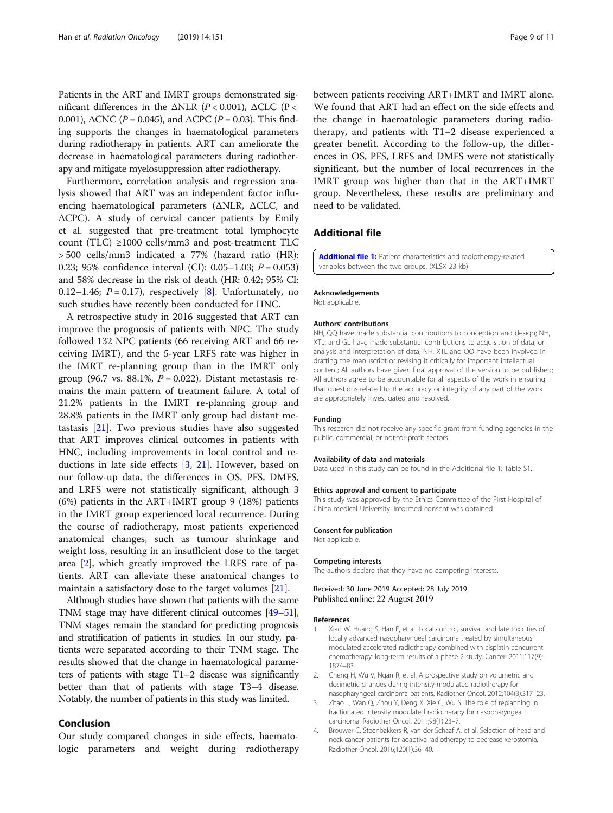<span id="page-8-0"></span>Patients in the ART and IMRT groups demonstrated significant differences in the ΔNLR ( $P < 0.001$ ), ΔCLC ( $P <$ 0.001), ΔCNC ( $P = 0.045$ ), and ΔCPC ( $P = 0.03$ ). This finding supports the changes in haematological parameters during radiotherapy in patients. ART can ameliorate the decrease in haematological parameters during radiotherapy and mitigate myelosuppression after radiotherapy.

Furthermore, correlation analysis and regression analysis showed that ART was an independent factor influencing haematological parameters (ΔNLR, ΔCLC, and ΔCPC). A study of cervical cancer patients by Emily et al. suggested that pre-treatment total lymphocyte count (TLC) ≥1000 cells/mm3 and post-treatment TLC > 500 cells/mm3 indicated a 77% (hazard ratio (HR): 0.23; 95% confidence interval (CI): 0.05–1.03;  $P = 0.053$ ) and 58% decrease in the risk of death (HR: 0.42; 95% CI: 0.12–1.46;  $P = 0.17$ ), respectively [[8\]](#page-9-0). Unfortunately, no such studies have recently been conducted for HNC.

A retrospective study in 2016 suggested that ART can improve the prognosis of patients with NPC. The study followed 132 NPC patients (66 receiving ART and 66 receiving IMRT), and the 5-year LRFS rate was higher in the IMRT re-planning group than in the IMRT only group (96.7 vs. 88.1%,  $P = 0.022$ ). Distant metastasis remains the main pattern of treatment failure. A total of 21.2% patients in the IMRT re-planning group and 28.8% patients in the IMRT only group had distant metastasis [\[21](#page-9-0)]. Two previous studies have also suggested that ART improves clinical outcomes in patients with HNC, including improvements in local control and reductions in late side effects [3, [21\]](#page-9-0). However, based on our follow-up data, the differences in OS, PFS, DMFS, and LRFS were not statistically significant, although 3 (6%) patients in the ART+IMRT group 9 (18%) patients in the IMRT group experienced local recurrence. During the course of radiotherapy, most patients experienced anatomical changes, such as tumour shrinkage and weight loss, resulting in an insufficient dose to the target area [2], which greatly improved the LRFS rate of patients. ART can alleviate these anatomical changes to maintain a satisfactory dose to the target volumes [[21](#page-9-0)].

Although studies have shown that patients with the same TNM stage may have different clinical outcomes [[49](#page-9-0)–[51](#page-10-0)], TNM stages remain the standard for predicting prognosis and stratification of patients in studies. In our study, patients were separated according to their TNM stage. The results showed that the change in haematological parameters of patients with stage T1–2 disease was significantly better than that of patients with stage T3–4 disease. Notably, the number of patients in this study was limited.

## Conclusion

Our study compared changes in side effects, haematologic parameters and weight during radiotherapy between patients receiving ART+IMRT and IMRT alone. We found that ART had an effect on the side effects and the change in haematologic parameters during radiotherapy, and patients with T1–2 disease experienced a greater benefit. According to the follow-up, the differences in OS, PFS, LRFS and DMFS were not statistically significant, but the number of local recurrences in the IMRT group was higher than that in the ART+IMRT group. Nevertheless, these results are preliminary and need to be validated.

## Additional file

[Additional file 1:](https://doi.org/10.1186/s13014-019-1350-9) Patient characteristics and radiotherapy-related variables between the two groups. (XLSX 23 kb)

#### Acknowledgements

Not applicable.

#### Authors' contributions

NH, QQ have made substantial contributions to conception and design; NH, XTL, and GL have made substantial contributions to acquisition of data, or analysis and interpretation of data; NH, XTL and QQ have been involved in drafting the manuscript or revising it critically for important intellectual content; All authors have given final approval of the version to be published; All authors agree to be accountable for all aspects of the work in ensuring that questions related to the accuracy or integrity of any part of the work are appropriately investigated and resolved.

#### Funding

This research did not receive any specific grant from funding agencies in the public, commercial, or not-for-profit sectors.

#### Availability of data and materials

Data used in this study can be found in the Additional file 1: Table S1.

#### Ethics approval and consent to participate

This study was approved by the Ethics Committee of the First Hospital of China medical University. Informed consent was obtained.

#### Consent for publication

Not applicable.

#### Competing interests

The authors declare that they have no competing interests.

Received: 30 June 2019 Accepted: 28 July 2019 Published online: 22 August 2019

#### References

- 1. Xiao W, Huang S, Han F, et al. Local control, survival, and late toxicities of locally advanced nasopharyngeal carcinoma treated by simultaneous modulated accelerated radiotherapy combined with cisplatin concurrent chemotherapy: long-term results of a phase 2 study. Cancer. 2011;117(9): 1874–83.
- 2. Cheng H, Wu V, Ngan R, et al. A prospective study on volumetric and dosimetric changes during intensity-modulated radiotherapy for nasopharyngeal carcinoma patients. Radiother Oncol. 2012;104(3):317–23.
- 3. Zhao L, Wan Q, Zhou Y, Deng X, Xie C, Wu S. The role of replanning in fractionated intensity modulated radiotherapy for nasopharyngeal carcinoma. Radiother Oncol. 2011;98(1):23–7.
- 4. Brouwer C, Steenbakkers R, van der Schaaf A, et al. Selection of head and neck cancer patients for adaptive radiotherapy to decrease xerostomia. Radiother Oncol. 2016;120(1):36–40.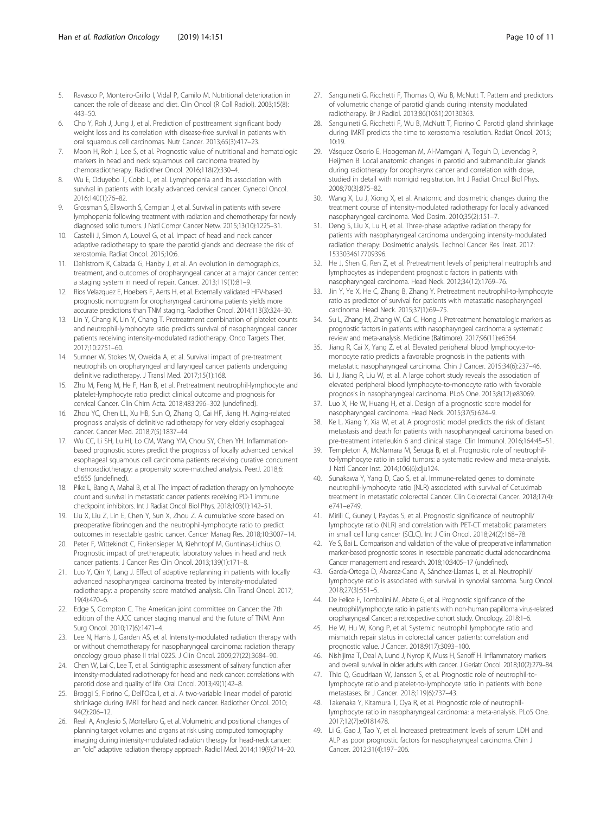- <span id="page-9-0"></span>5. Ravasco P, Monteiro-Grillo I, Vidal P, Camilo M. Nutritional deterioration in cancer: the role of disease and diet. Clin Oncol (R Coll Radiol). 2003;15(8): 443–50.
- 6. Cho Y, Roh J, Jung J, et al. Prediction of posttreament significant body weight loss and its correlation with disease-free survival in patients with oral squamous cell carcinomas. Nutr Cancer. 2013;65(3):417–23.
- 7. Moon H, Roh J, Lee S, et al. Prognostic value of nutritional and hematologic markers in head and neck squamous cell carcinoma treated by chemoradiotherapy. Radiother Oncol. 2016;118(2):330–4.
- Wu E, Oduyebo T, Cobb L, et al. Lymphopenia and its association with survival in patients with locally advanced cervical cancer. Gynecol Oncol. 2016;140(1):76–82.
- 9. Grossman S, Ellsworth S, Campian J, et al. Survival in patients with severe lymphopenia following treatment with radiation and chemotherapy for newly diagnosed solid tumors. J Natl Compr Cancer Netw. 2015;13(10):1225–31.
- 10. Castelli J, Simon A, Louvel G, et al. Impact of head and neck cancer adaptive radiotherapy to spare the parotid glands and decrease the risk of xerostomia. Radiat Oncol. 2015;10:6.
- 11. Dahlstrom K, Calzada G, Hanby J, et al. An evolution in demographics, treatment, and outcomes of oropharyngeal cancer at a major cancer center: a staging system in need of repair. Cancer. 2013;119(1):81–9.
- 12. Rios Velazquez E, Hoebers F, Aerts H, et al. Externally validated HPV-based prognostic nomogram for oropharyngeal carcinoma patients yields more accurate predictions than TNM staging. Radiother Oncol. 2014;113(3):324–30.
- 13. Lin Y, Chang K, Lin Y, Chang T. Pretreatment combination of platelet counts and neutrophil-lymphocyte ratio predicts survival of nasopharyngeal cancer patients receiving intensity-modulated radiotherapy. Onco Targets Ther. 2017;10:2751–60.
- 14. Sumner W, Stokes W, Oweida A, et al. Survival impact of pre-treatment neutrophils on oropharyngeal and laryngeal cancer patients undergoing definitive radiotherapy. J Transl Med. 2017;15(1):168.
- 15. Zhu M, Feng M, He F, Han B, et al. Pretreatment neutrophil-lymphocyte and platelet-lymphocyte ratio predict clinical outcome and prognosis for cervical Cancer. Clin Chim Acta. 2018;483:296–302 (undefined).
- 16. Zhou YC, Chen LL, Xu HB, Sun Q, Zhang Q, Cai HF, Jiang H. Aging-related prognosis analysis of definitive radiotherapy for very elderly esophageal cancer. Cancer Med. 2018;7(5):1837–44.
- 17. Wu CC, Li SH, Lu HI, Lo CM, Wang YM, Chou SY, Chen YH. Inflammationbased prognostic scores predict the prognosis of locally advanced cervical esophageal squamous cell carcinoma patients receiving curative concurrent chemoradiotherapy: a propensity score-matched analysis. PeerJ. 2018;6: e5655 (undefined).
- 18. Pike L, Bang A, Mahal B, et al. The impact of radiation therapy on lymphocyte count and survival in metastatic cancer patients receiving PD-1 immune checkpoint inhibitors. Int J Radiat Oncol Biol Phys. 2018;103(1):142–51.
- 19. Liu X, Liu Z, Lin E, Chen Y, Sun X, Zhou Z. A cumulative score based on preoperative fibrinogen and the neutrophil-lymphocyte ratio to predict outcomes in resectable gastric cancer. Cancer Manag Res. 2018;10:3007–14.
- 20. Peter F, Wittekindt C, Finkensieper M, Kiehntopf M, Guntinas-Lichius O. Prognostic impact of pretherapeutic laboratory values in head and neck cancer patients. J Cancer Res Clin Oncol. 2013;139(1):171–8.
- 21. Luo Y, Qin Y, Lang J. Effect of adaptive replanning in patients with locally advanced nasopharyngeal carcinoma treated by intensity-modulated radiotherapy: a propensity score matched analysis. Clin Transl Oncol. 2017; 19(4):470–6.
- 22. Edge S, Compton C. The American joint committee on Cancer: the 7th edition of the AJCC cancer staging manual and the future of TNM. Ann Surg Oncol. 2010;17(6):1471–4.
- 23. Lee N, Harris J, Garden AS, et al. Intensity-modulated radiation therapy with or without chemotherapy for nasopharyngeal carcinoma: radiation therapy oncology group phase II trial 0225. J Clin Oncol. 2009;27(22):3684–90.
- 24. Chen W, Lai C, Lee T, et al. Scintigraphic assessment of salivary function after intensity-modulated radiotherapy for head and neck cancer: correlations with parotid dose and quality of life. Oral Oncol. 2013;49(1):42–8.
- 25. Broggi S, Fiorino C, Dell'Oca I, et al. A two-variable linear model of parotid shrinkage during IMRT for head and neck cancer. Radiother Oncol. 2010; 94(2):206–12.
- 26. Reali A, Anglesio S, Mortellaro G, et al. Volumetric and positional changes of planning target volumes and organs at risk using computed tomography imaging during intensity-modulated radiation therapy for head-neck cancer: an "old" adaptive radiation therapy approach. Radiol Med. 2014;119(9):714–20.
- 27. Sanguineti G, Ricchetti F, Thomas O, Wu B, McNutt T. Pattern and predictors of volumetric change of parotid glands during intensity modulated radiotherapy. Br J Radiol. 2013;86(1031):20130363.
- 28. Sanguineti G, Ricchetti F, Wu B, McNutt T, Fiorino C. Parotid gland shrinkage during IMRT predicts the time to xerostomia resolution. Radiat Oncol. 2015; 10:19.
- 29. Vásquez Osorio E, Hoogeman M, Al-Mamgani A, Teguh D, Levendag P, Heijmen B. Local anatomic changes in parotid and submandibular glands during radiotherapy for oropharynx cancer and correlation with dose, studied in detail with nonrigid registration. Int J Radiat Oncol Biol Phys. 2008;70(3):875–82.
- 30. Wang X, Lu J, Xiong X, et al. Anatomic and dosimetric changes during the treatment course of intensity-modulated radiotherapy for locally advanced nasopharyngeal carcinoma. Med Dosim. 2010;35(2):151–7.
- 31. Deng S, Liu X, Lu H, et al. Three-phase adaptive radiation therapy for patients with nasopharyngeal carcinoma undergoing intensity-modulated radiation therapy: Dosimetric analysis. Technol Cancer Res Treat. 2017: 1533034617709396.
- 32. He J, Shen G, Ren Z, et al. Pretreatment levels of peripheral neutrophils and lymphocytes as independent prognostic factors in patients with nasopharyngeal carcinoma. Head Neck. 2012;34(12):1769–76.
- 33. Jin Y, Ye X, He C, Zhang B, Zhang Y. Pretreatment neutrophil-to-lymphocyte ratio as predictor of survival for patients with metastatic nasopharyngeal carcinoma. Head Neck. 2015;37(1):69–75.
- 34. Su L, Zhang M, Zhang W, Cai C, Hong J. Pretreatment hematologic markers as prognostic factors in patients with nasopharyngeal carcinoma: a systematic review and meta-analysis. Medicine (Baltimore). 2017;96(11):e6364.
- 35. Jiang R, Cai X, Yang Z, et al. Elevated peripheral blood lymphocyte-tomonocyte ratio predicts a favorable prognosis in the patients with metastatic nasopharyngeal carcinoma. Chin J Cancer. 2015;34(6):237–46.
- 36. Li J, Jiang R, Liu W, et al. A large cohort study reveals the association of elevated peripheral blood lymphocyte-to-monocyte ratio with favorable prognosis in nasopharyngeal carcinoma. PLoS One. 2013;8(12):e83069.
- 37. Luo X, He W, Huang H, et al. Design of a prognostic score model for nasopharyngeal carcinoma. Head Neck. 2015;37(5):624–9.
- 38. Ke L, Xiang Y, Xia W, et al. A prognostic model predicts the risk of distant metastasis and death for patients with nasopharyngeal carcinoma based on pre-treatment interleukin 6 and clinical stage. Clin Immunol. 2016;164:45–51.
- 39. Templeton A, McNamara M, Šeruga B, et al. Prognostic role of neutrophilto-lymphocyte ratio in solid tumors: a systematic review and meta-analysis. J Natl Cancer Inst. 2014;106(6):dju124.
- 40. Sunakawa Y, Yang D, Cao S, et al. Immune-related genes to dominate neutrophil-lymphocyte ratio (NLR) associated with survival of Cetuximab treatment in metastatic colorectal Cancer. Clin Colorectal Cancer. 2018;17(4): e741–e749.
- 41. Mirili C, Guney I, Paydas S, et al. Prognostic significance of neutrophil/ lymphocyte ratio (NLR) and correlation with PET-CT metabolic parameters in small cell lung cancer (SCLC). Int J Clin Oncol. 2018;24(2):168–78.
- 42. Ye S, Bai L. Comparison and validation of the value of preoperative inflammation marker-based prognostic scores in resectable pancreatic ductal adenocarcinoma. Cancer management and research. 2018;10:3405–17 (undefined).
- 43. García-Ortega D, Álvarez-Cano A, Sánchez-Llamas L, et al. Neutrophil/ lymphocyte ratio is associated with survival in synovial sarcoma. Surg Oncol. 2018;27(3):551–5.
- 44. De Felice F, Tombolini M, Abate G, et al. Prognostic significance of the neutrophil/lymphocyte ratio in patients with non-human papilloma virus-related oropharyngeal Cancer: a retrospective cohort study. Oncology. 2018:1–6.
- 45. He W, Hu W, Kong P, et al. Systemic neutrophil lymphocyte ratio and mismatch repair status in colorectal cancer patients: correlation and prognostic value. J Cancer. 2018;9(17):3093–100.
- 46. Nishijima T, Deal A, Lund J, Nyrop K, Muss H, Sanoff H. Inflammatory markers and overall survival in older adults with cancer. J Geriatr Oncol. 2018;10(2):279–84.
- 47. Thio Q, Goudriaan W, Janssen S, et al. Prognostic role of neutrophil-tolymphocyte ratio and platelet-to-lymphocyte ratio in patients with bone metastases. Br J Cancer. 2018;119(6):737–43.
- 48. Takenaka Y, Kitamura T, Oya R, et al. Prognostic role of neutrophillymphocyte ratio in nasopharyngeal carcinoma: a meta-analysis. PLoS One. 2017;12(7):e0181478.
- 49. Li G, Gao J, Tao Y, et al. Increased pretreatment levels of serum LDH and ALP as poor prognostic factors for nasopharyngeal carcinoma. Chin J Cancer. 2012;31(4):197–206.